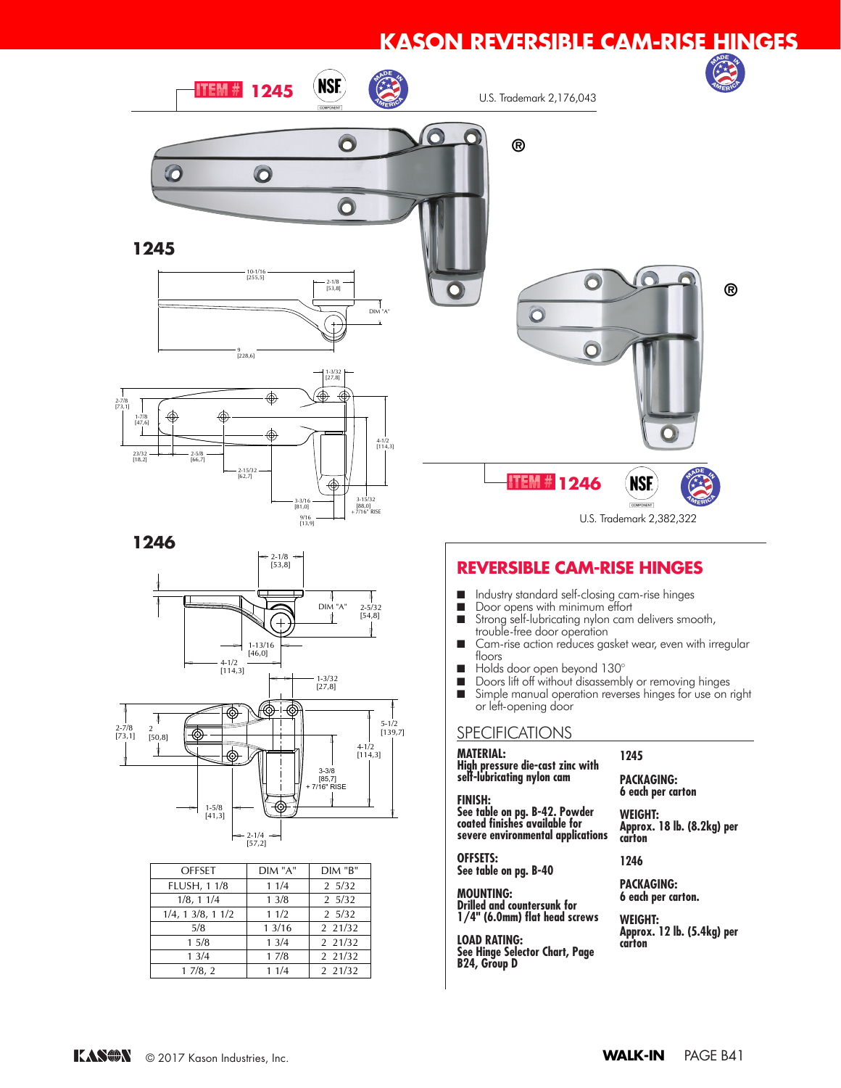# **KASON REVERSIBLE CAM-RISE HINGES**



- **N** Industry standard self-closing cam-rise hinges
- Door opens with minimum effort
- Strong self-lubricating nylon cam delivers smooth, trouble-free door operation
- trouble-tree door operation<br>■ Cam-rise action reduces gasket wear, even with irregular floors
- $\blacksquare$  Holds door open beyond 130 $^\circ$
- Doors lift off without disassembly or removing hinges
- Simple manual operation reverses hinges for use on right or left-opening door

### SPECIFICATIONS <u>Cai</u>

**MATERIAL: High pressure die-cast zinc with self-lubricating nylon cam**

**FINISH: See table on pg. B-42. Powder coated finishes available for severe environmental applications**

**OFFSETS: See table on pg. B-40** 

**MOUNTING: PRODITITY**<br> **Drilled and countersunk for 1/4" (6.0mm) flat head screws** 

**LOAD RATING: See Hinge Selector Chart, Page B24, Group D** COAD RATING: available powder controlled be powered to the power color color color color. The color color color color color

**PACKAGING:**

**1245**

**6 each per carton WEIGHT:**

**®**

**Approx. 18 lb. (8.2kg) per carton**

**1246**

**PACKAGING: 6 each per carton.**

**WEIGHT: Approx. 12 lb. (5.4kg) per carton**

23/32 [18,2]

2-7/8 [73,1]

Ŧ



| <b>OFFSET</b>             | DIM "A" | $DIM$ " $B$ "    |
|---------------------------|---------|------------------|
| <b>FLUSH, 1 1/8</b>       | 11/4    | $2 \frac{5}{32}$ |
| 1/8, 11/4                 | 13/8    | 25/32            |
| $1/4$ , 1 $3/8$ , 1 $1/2$ | 11/2    | 25/32            |
| 5/8                       | 13/16   | 2 2 1/3 2        |
| 15/8                      | 13/4    | 2 21/32          |
| 13/4                      | 17/8    | 2 2 1 / 3 2      |
| 17/8, 2                   | 11/4    | 2 21/32          |